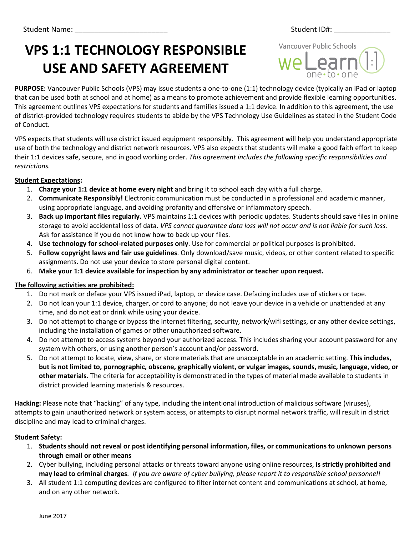# **VPS 1:1 TECHNOLOGY RESPONSIBLE USE AND SAFETY AGREEMENT**

Vancouver Public Schools

**PURPOSE:** Vancouver Public Schools (VPS) may issue students a one-to-one (1:1) technology device (typically an iPad or laptop that can be used both at school and at home) as a means to promote achievement and provide flexible learning opportunities. This agreement outlines VPS expectations for students and families issued a 1:1 device. In addition to this agreement, the use of district-provided technology requires students to abide by the VPS Technology Use Guidelines as stated in the Student Code of Conduct.

VPS expects that students will use district issued equipment responsibly. This agreement will help you understand appropriate use of both the technology and district network resources. VPS also expects that students will make a good faith effort to keep their 1:1 devices safe, secure, and in good working order. *This agreement includes the following specific responsibilities and restrictions.*

## **Student Expectations:**

- 1. **Charge your 1:1 device at home every night** and bring it to school each day with a full charge.
- 2. **Communicate Responsibly!** Electronic communication must be conducted in a professional and academic manner, using appropriate language, and avoiding profanity and offensive or inflammatory speech.
- 3. **Back up important files regularly.** VPS maintains 1:1 devices with periodic updates. Students should save files in online storage to avoid accidental loss of data. *VPS cannot guarantee data loss will not occur and is not liable for such loss.*  Ask for assistance if you do not know how to back up your files.
- 4. **Use technology for school-related purposes only**. Use for commercial or political purposes is prohibited.
- 5. **Follow copyright laws and fair use guidelines**. Only download/save music, videos, or other content related to specific assignments. Do not use your device to store personal digital content.
- 6. **Make your 1:1 device available for inspection by any administrator or teacher upon request.**

## **The following activities are prohibited:**

- 1. Do not mark or deface your VPS issued iPad, laptop, or device case. Defacing includes use of stickers or tape.
- 2. Do not loan your 1:1 device, charger, or cord to anyone; do not leave your device in a vehicle or unattended at any time, and do not eat or drink while using your device.
- 3. Do not attempt to change or bypass the internet filtering, security, network/wifi settings, or any other device settings, including the installation of games or other unauthorized software.
- 4. Do not attempt to access systems beyond your authorized access. This includes sharing your account password for any system with others, or using another person's account and/or password.
- 5. Do not attempt to locate, view, share, or store materials that are unacceptable in an academic setting. **This includes, but is not limited to, pornographic, obscene, graphically violent, or vulgar images, sounds, music, language, video, or other materials.** The criteria for acceptability is demonstrated in the types of material made available to students in district provided learning materials & resources.

**Hacking:** Please note that "hacking" of any type, including the intentional introduction of malicious software (viruses), attempts to gain unauthorized network or system access, or attempts to disrupt normal network traffic, will result in district discipline and may lead to criminal charges.

#### **Student Safety:**

- 1. **Students should not reveal or post identifying personal information, files, or communications to unknown persons through email or other means**
- 2. Cyber bullying, including personal attacks or threats toward anyone using online resources, **is strictly prohibited and may lead to criminal charges***. If you are aware of cyber bullying, please report it to responsible school personnel!*
- 3. All student 1:1 computing devices are configured to filter internet content and communications at school, at home, and on any other network.